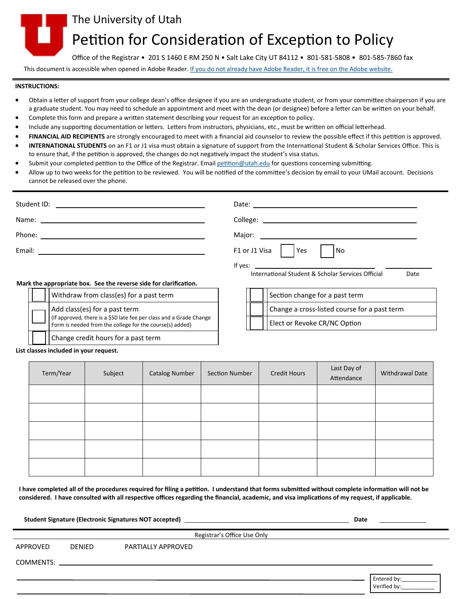

# Petition for Consideration of Exception to Policy

Office of the Registrar • 201 S 1460 E RM 250 N • Salt Lake City UT 84112 • 801-581-5808 • 801-585-7860 fax

This document is accessible when opened in Adobe Reader. [If you do not already have Adobe Reader, it is free on the Adobe website.](https://get.adobe.com/reader/)

#### **INSTRUCTIONS:**

- Obtain a letter of support from your college dean's office designee if you are an undergraduate student, or from your committee chairperson if you are a graduate student. You may need to schedule an appointment and meet with the dean (or designee) before a letter can be written on your behalf.
- Complete this form and prepare a written statement describing your request for an exception to policy.
- Include any supporting documentation or letters. Letters from instructors, physicians, etc., must be written on official letterhead.
- **FINANCIAL AID RECIPIENTS** are strongly encouraged to meet with a financial aid counselor to review the possible effect if this petition is approved.
- **INTERNATIONAL STUDENTS** on an F1 or J1 visa must obtain a signature of support from the International Student & Scholar Services Office. This is to ensure that, if the petition is approved, the changes do not negatively impact the student's visa status.
- Submit your completed petition to the Office of the Registrar. Email [petition@utah.edu](mailto:petition@utah.edu) for questions concerning submitting.
- Allow up to two weeks for the petition to be reviewed. You will be notified of the committee's decision by email to your UMail account. Decisions cannot be released over the phone.

|                                                                   | F1 or J1 Visa<br> Yes <br>l No                                                                                                                      |  |  |
|-------------------------------------------------------------------|-----------------------------------------------------------------------------------------------------------------------------------------------------|--|--|
|                                                                   | If yes: $\overline{\phantom{a}}$<br>International Student & Scholar Services Official<br>Date                                                       |  |  |
| Mark the appropriate box. See the reverse side for clarification. |                                                                                                                                                     |  |  |
| Withdraw from class(es) for a past term                           | Section change for a past term                                                                                                                      |  |  |
|                                                                   | $\mathbf{r}$ and $\mathbf{r}$ are the set of $\mathbf{r}$ and $\mathbf{r}$ are the set of $\mathbf{r}$ and $\mathbf{r}$ are the set of $\mathbf{r}$ |  |  |

| Add class(es) for a past term<br>(If approved, there is a \$50 late fee per class and a Grade Change<br>Form is needed from the college for the course(s) added) |
|------------------------------------------------------------------------------------------------------------------------------------------------------------------|
| Change credit hours for a past term                                                                                                                              |

|  | Section change for a past term               |
|--|----------------------------------------------|
|  | Change a cross-listed course for a past term |
|  | Elect or Revoke CR/NC Option                 |

#### **List classes included in your request.**

| Term/Year | Subject | <b>Catalog Number</b> | Section Number | <b>Credit Hours</b> | Last Day of<br>Attendance | Withdrawal Date |
|-----------|---------|-----------------------|----------------|---------------------|---------------------------|-----------------|
|           |         |                       |                |                     |                           |                 |
|           |         |                       |                |                     |                           |                 |
|           |         |                       |                |                     |                           |                 |
|           |         |                       |                |                     |                           |                 |
|           |         |                       |                |                     |                           |                 |

**I have completed all of the procedures required for filing a petition. I understand that forms submitted without complete information will not be considered. I have consulted with all respective offices regarding the financial, academic, and visa implications of my request, if applicable.** 

**Student Signature (Electronic Signatures NOT accepted) Date**

Registrar's Office Use Only

APPROVED DENIED PARTIALLY APPROVED

COMMENTS:

Entered by: Verified by: